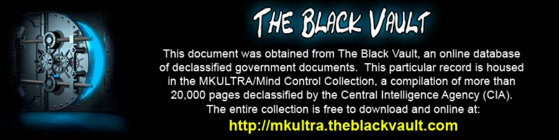

This document was obtained from The Black Vault, an online database of declassified government documents. This particular record is housed in the MKULTRA/Mind Control Collection, a compilation of more than 20,000 pages declassified by the Central Intelligence Agency (CIA). The entire collection is free to download and online at: http://mkultra.theblackvault.com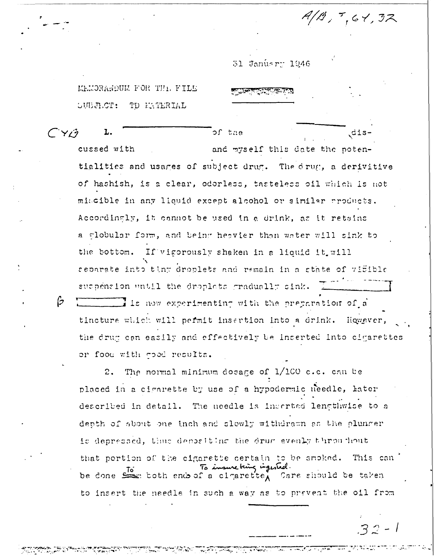$A/B$ ,  $7,61,32$ 

31 Janusry 1946

MEMORARDUM FOR THI, FILE **SUBJECT:** TD EXTERIAL

 $\beta$ 

 $CY/3$ of the dis-L. cussed with and myself this date the potentialities and usages of subject drug. The drug, a derivitive of hashish, is a clear, odorless, tasteless oil which is not miscible in any liquid except alcohol or similar products. Accordinaly, it cannot be used in a drink, as it retains a clobular form, and being heavier than water will sink to the bottom. If vigorously shaken in a liquid it will separate into tiny droplets and remain in a state of vifible suspension until the droplets gradually sink. I is now experimenting with the preparation of a tincture which will permit insertion into a drink. liqwever, the drug can easily and effectively be inserted into cigarettes or food with good results.

The normal minimum dosage of 1/100 c.c. can be  $2.$ placed in a cigarette by use of a hypodermic needle, later described in detail. The needle is inscried lengthwise to a depth of about one inch and slowly withdrawn as the plunger is depressed, thus depositing the drug eventy throughout that portion of the cigarette certain to be smoked. This can To insure being ingested. be done sen toth end of a clearette, Care should be taken to insert the needle in such a way as to prevent the oil from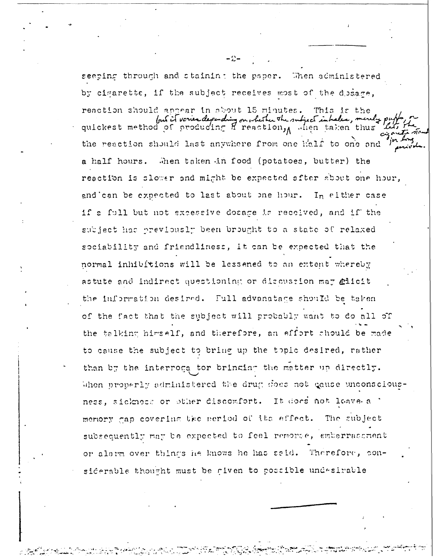seeping through and staining the paper. When administered by cigarette, if the subject receives most of the dosage, reaction should appear in about 15 minutes. This is the fout it varies depending on whether the subject inhabes, merely p quickest method of producing A reaction, when taken thus the reaction should last anywhere from one half to one and Then taken in food (potatoes, butter) the a half hours. reaction is slower and might be expected after about one hour, and can be expected to last about one hour. In either case if a full but not excessive dosage is received, and if the subject has previously been brought to a state of relaxed sociability and friendliness, it can be expected that the normal inhibitions will be lessened to an extent whereby astute and indirect questioning or discussion may alieit the information desired. Full advanatage should be taken of the fact that the subject will probably want to do all of the talking himself, and therefore, an effort should be made to cause the subject to bring up the topic desired, rather than by the interroga tor bringing the matter up directly. When properly administered the drug does not gause unconsciousness, sickness or other discomfort. It does not leave a ' memory gap covering the period of the effect. The subject subsequently may be expected to feel remorse, embarrassment or alarm over things he knows he has said. Therefore, considerable thought must be given to possible undesirable

- ៈ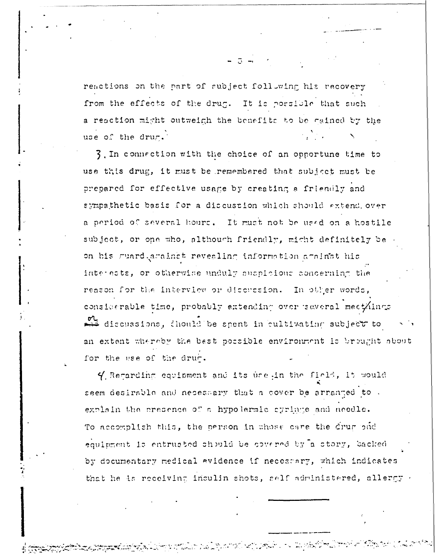reactions on the part of subject following his recovery from the effects of the drug. It is possible that such a reaction might outweigh the benefits to be cained by the use of the drug.

3. In connection with the choice of an opportune time to use this drug, it must be remembered that subject must be prepared for effective usage by creating a friendly and sympathetic basis for a discussion which should extend over a period of several hours. It must not be used on a hostile subject, or one who, although friendly, might definitely be on his guard acainst revealing information against his interests, or otherwise unduly suspicious concerning the reason for the interview or discussion. In other words, considerable time, probably extending over several meet/lings discussions, chould be spent in cultivating subject to an extent whereby the best possible environment is brought about for the use of the drum.

4 Recarding equipment and its use in the field, it would seem desirable and necessary that a cover be arranged to. explain the presence of a hypolermic cyringe and needle. To accomplish this, the person in whose care the drug pud equipment is entrusted should be covered by a story, backed by documentary medical evidence if necescary, which indicates that he is receiving insulin shots, self administered, allergy -

٣ أَيْتُ مِنْ أَنْفُسْ وَالْأَرْضَاءَ إِلَيْهِ الْمَرْكَبَةِ مِنْ الْأَرْضِةِ ۚ أَرْجَعَةَ مَا يَرْبَعُونَ إِلَ<br>الْأَرْضَاءَ الْمُرْكَّبَةُ وَالْمَرْضَةُ وَالْمُرْضَافِينَ وَالْأَرْضِيَةِ ۚ إِلَيْهِمْ وَالْمَرْضَافِينَ وَ